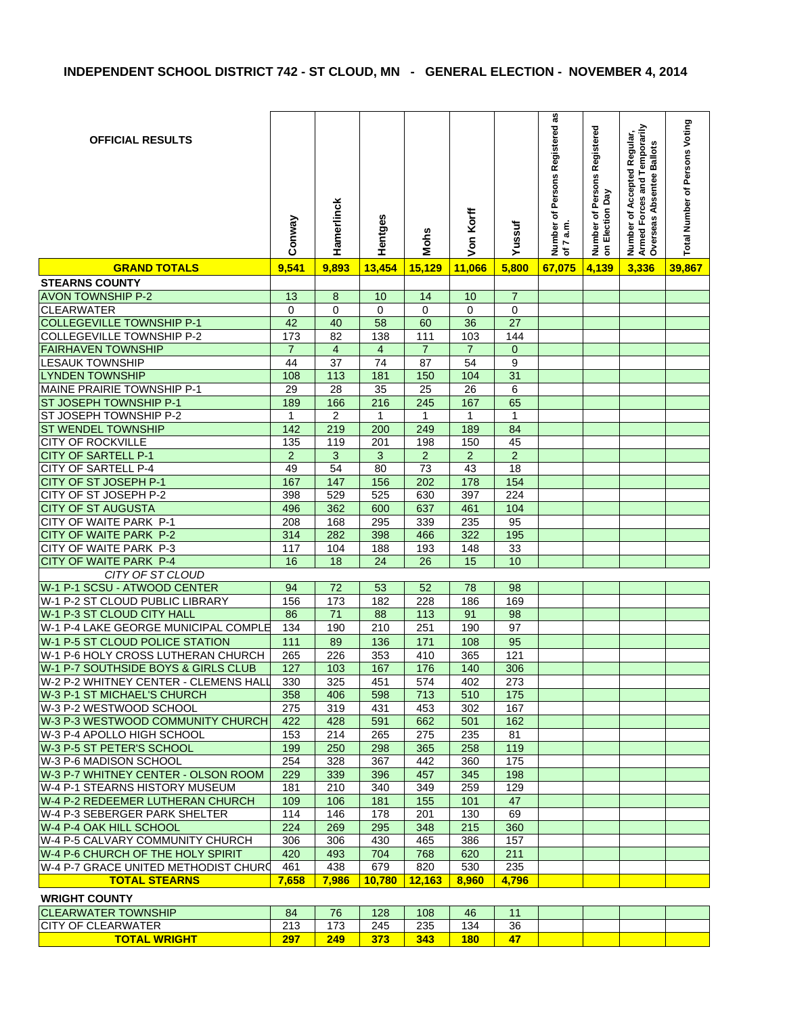| <b>OFFICIAL RESULTS</b>                                       | Conway                | Hamerlinck           | Hentges                        | <b>Mohs</b>           | Von Korff             | Yussuf                | Number of Persons Registered as<br>of $7$ a.m. | Number of Persons Registered<br>on Election Day | Number of Accepted Regular,<br>Armed Forces and Temporarily<br>Overseas Absentee Ballots | Total Number of Persons Voting |
|---------------------------------------------------------------|-----------------------|----------------------|--------------------------------|-----------------------|-----------------------|-----------------------|------------------------------------------------|-------------------------------------------------|------------------------------------------------------------------------------------------|--------------------------------|
| <b>GRAND TOTALS</b>                                           | 9,541                 | 9,893                | 13,454                         | 15,129                | 11,066                | 5,800                 | 67,075                                         | 4,139                                           | 3,336                                                                                    | 39,867                         |
| <b>STEARNS COUNTY</b>                                         |                       |                      |                                |                       |                       |                       |                                                |                                                 |                                                                                          |                                |
| <b>AVON TOWNSHIP P-2</b>                                      | 13                    | 8                    | 10                             | 14                    | 10                    | $\overline{7}$        |                                                |                                                 |                                                                                          |                                |
| <b>CLEARWATER</b>                                             | 0                     | $\Omega$             | 0                              | $\Omega$              | 0                     | 0                     |                                                |                                                 |                                                                                          |                                |
| <b>COLLEGEVILLE TOWNSHIP P-1</b>                              | 42                    | 40                   | 58                             | 60                    | 36                    | 27                    |                                                |                                                 |                                                                                          |                                |
| <b>COLLEGEVILLE TOWNSHIP P-2</b><br><b>FAIRHAVEN TOWNSHIP</b> | 173<br>$\overline{7}$ | 82<br>$\overline{4}$ | 138<br>$\overline{\mathbf{4}}$ | 111<br>$\overline{7}$ | 103<br>$\overline{7}$ | 144<br>$\overline{0}$ |                                                |                                                 |                                                                                          |                                |
| <b>LESAUK TOWNSHIP</b>                                        | 44                    | 37                   | 74                             | 87                    | 54                    | 9                     |                                                |                                                 |                                                                                          |                                |
| <b>LYNDEN TOWNSHIP</b>                                        | 108                   | 113                  | 181                            | 150                   | 104                   | 31                    |                                                |                                                 |                                                                                          |                                |
| <b>MAINE PRAIRIE TOWNSHIP P-1</b>                             | 29                    | 28                   | $\overline{35}$                | 25                    | 26                    | 6                     |                                                |                                                 |                                                                                          |                                |
| ST JOSEPH TOWNSHIP P-1                                        | 189                   | 166                  | $\overline{216}$               | 245                   | 167                   | 65                    |                                                |                                                 |                                                                                          |                                |
| ST JOSEPH TOWNSHIP P-2                                        | $\mathbf{1}$          | $\overline{2}$       | 1                              | $\mathbf{1}$          | 1                     | 1                     |                                                |                                                 |                                                                                          |                                |
| <b>ST WENDEL TOWNSHIP</b>                                     | 142                   | 219                  | 200                            | 249                   | 189                   | 84                    |                                                |                                                 |                                                                                          |                                |
| <b>CITY OF ROCKVILLE</b>                                      | 135                   | 119                  | 201                            | 198                   | 150                   | 45                    |                                                |                                                 |                                                                                          |                                |
| <b>CITY OF SARTELL P-1</b>                                    | $\overline{c}$        | $\mathbf{3}$         | 3                              | $\overline{2}$        | $\overline{a}$        | $\overline{2}$        |                                                |                                                 |                                                                                          |                                |
| <b>CITY OF SARTELL P-4</b>                                    | 49                    | 54                   | 80                             | 73                    | 43                    | 18                    |                                                |                                                 |                                                                                          |                                |
| CITY OF ST JOSEPH P-1                                         | 167                   | 147                  | 156                            | 202                   | 178                   | 154                   |                                                |                                                 |                                                                                          |                                |
| CITY OF ST JOSEPH P-2                                         | 398                   | 529                  | 525                            | 630                   | 397                   | 224                   |                                                |                                                 |                                                                                          |                                |
| <b>CITY</b><br>OF ST AUGUSTA                                  | 496                   | 362                  | 600                            | 637                   | 461                   | 104                   |                                                |                                                 |                                                                                          |                                |
| CITY OF WAITE PARK P-1                                        | 208                   | 168                  | 295                            | 339                   | 235                   | 95                    |                                                |                                                 |                                                                                          |                                |
| CITY OF WAITE PARK P-2                                        | 314                   | 282                  | 398                            | 466                   | 322                   | 195                   |                                                |                                                 |                                                                                          |                                |
| CITY OF WAITE PARK P-3                                        | 117                   | 104                  | 188                            | 193                   | 148                   | 33                    |                                                |                                                 |                                                                                          |                                |
| <b>CITY OF WAITE PARK P-4</b>                                 | 16                    | 18                   | 24                             | 26                    | 15                    | 10                    |                                                |                                                 |                                                                                          |                                |
| CITY OF ST CLOUD                                              |                       |                      |                                |                       |                       |                       |                                                |                                                 |                                                                                          |                                |
| W-1 P-1 SCSU - ATWOOD CENTER                                  | 94                    | 72                   | 53                             | 52                    | 78                    | 98                    |                                                |                                                 |                                                                                          |                                |
| W-1 P-2 ST CLOUD PUBLIC LIBRARY                               | 156                   | 173                  | 182                            | 228                   | 186                   | 169                   |                                                |                                                 |                                                                                          |                                |
| W-1 P-3 ST CLOUD CITY HALL                                    | 86                    | 71                   | 88                             | 113                   | 91                    | 98                    |                                                |                                                 |                                                                                          |                                |
| W-1 P-4 LAKE GEORGE MUNICIPAL COMPLE                          | 134                   | 190                  | 210                            | 251                   | 190                   | 97                    |                                                |                                                 |                                                                                          |                                |
| W-1 P-5 ST CLOUD POLICE STATION                               | 111                   | 89                   | 136                            | 171                   | 108                   | 95                    |                                                |                                                 |                                                                                          |                                |
| W-1 P-6 HOLY CROSS LUTHERAN CHURCH                            | 265                   | 226                  | 353                            | 410                   | 365                   | 121                   |                                                |                                                 |                                                                                          |                                |
| W-1 P-7 SOUTHSIDE BOYS & GIRLS CLUB                           | 127                   | 103                  | 167                            | 176                   | 140                   | 306                   |                                                |                                                 |                                                                                          |                                |
| W-2 P-2 WHITNEY CENTER - CLEMENS HALL                         | 330                   | 325                  | 451                            | 574                   | 402                   | 273                   |                                                |                                                 |                                                                                          |                                |
| W-3 P-1 ST MICHAEL'S CHURCH                                   | 358                   | 406                  | 598                            | 713                   | 510                   | 175                   |                                                |                                                 |                                                                                          |                                |
| W-3 P-2 WESTWOOD SCHOOL<br>W-3 P-3 WESTWOOD COMMUNITY CHURCH  | 275                   | 319                  | 431                            | 453                   | 302                   | 167<br>162            |                                                |                                                 |                                                                                          |                                |
| W-3 P-4 APOLLO HIGH SCHOOL                                    | 422<br>153            | 428<br>214           | 591<br>265                     | 662<br>275            | 501<br>235            | 81                    |                                                |                                                 |                                                                                          |                                |
| W-3 P-5 ST PETER'S SCHOOL                                     | 199                   | 250                  | 298                            | 365                   | 258                   | 119                   |                                                |                                                 |                                                                                          |                                |
| W-3 P-6 MADISON SCHOOL                                        | 254                   | 328                  | 367                            | 442                   | 360                   | 175                   |                                                |                                                 |                                                                                          |                                |
| W-3 P-7 WHITNEY CENTER - OLSON ROOM                           | 229                   | 339                  | 396                            | 457                   | 345                   | 198                   |                                                |                                                 |                                                                                          |                                |
| W-4 P-1 STEARNS HISTORY MUSEUM                                | 181                   | 210                  | 340                            | 349                   | 259                   | 129                   |                                                |                                                 |                                                                                          |                                |
| W-4 P-2 REDEEMER LUTHERAN CHURCH                              | 109                   | 106                  | 181                            | 155                   | 101                   | 47                    |                                                |                                                 |                                                                                          |                                |
| W-4 P-3 SEBERGER PARK SHELTER                                 | 114                   | 146                  | 178                            | 201                   | 130                   | 69                    |                                                |                                                 |                                                                                          |                                |
| W-4 P-4 OAK HILL SCHOOL                                       | 224                   | 269                  | 295                            | 348                   | 215                   | 360                   |                                                |                                                 |                                                                                          |                                |
| W-4 P-5 CALVARY COMMUNITY CHURCH                              | 306                   | 306                  | 430                            | 465                   | 386                   | 157                   |                                                |                                                 |                                                                                          |                                |
| W-4 P-6 CHURCH OF THE HOLY SPIRIT                             | 420                   | 493                  | 704                            | 768                   | 620                   | 211                   |                                                |                                                 |                                                                                          |                                |
| W-4 P-7 GRACE UNITED METHODIST CHURO                          | 461                   | 438                  | 679                            | 820                   | 530                   | 235                   |                                                |                                                 |                                                                                          |                                |
| <b>TOTAL STEARNS</b>                                          | 7,658                 | 7,986                | 10,780                         | 12,163                | 8,960                 | 4,796                 |                                                |                                                 |                                                                                          |                                |
| <b>WRIGHT COUNTY</b>                                          |                       |                      |                                |                       |                       |                       |                                                |                                                 |                                                                                          |                                |
| <b>CLEARWATER TOWNSHIP</b>                                    | 84                    | 76                   | 128                            | 108                   | 46                    | 11                    |                                                |                                                 |                                                                                          |                                |
| <b>CITY OF CLEARWATER</b>                                     | 213                   | 173                  | 245                            | 235                   | 134                   | 36                    |                                                |                                                 |                                                                                          |                                |
| <b>TOTAL WRIGHT</b>                                           | 297                   | 249                  | 373                            | 343                   | <b>180</b>            | 47                    |                                                |                                                 |                                                                                          |                                |
|                                                               |                       |                      |                                |                       |                       |                       |                                                |                                                 |                                                                                          |                                |